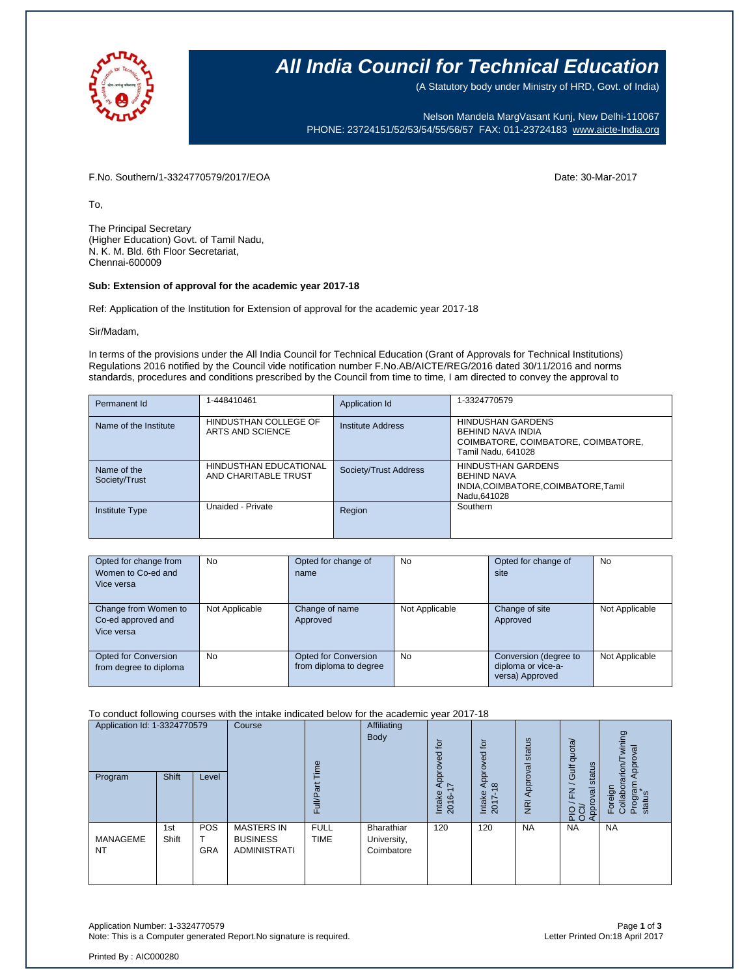

### **All India Council for Technical Education**

(A Statutory body under Ministry of HRD, Govt. of India)

Nelson Mandela MargVasant Kunj, New Delhi-110067 PHONE: 23724151/52/53/54/55/56/57 FAX: 011-23724183 [www.aicte-India.org](http://www.aicte-india.org/)

F.No. Southern/1-3324770579/2017/EOA Date: 30-Mar-2017

To,

The Principal Secretary (Higher Education) Govt. of Tamil Nadu, N. K. M. Bld. 6th Floor Secretariat, Chennai-600009

#### **Sub: Extension of approval for the academic year 2017-18**

Ref: Application of the Institution for Extension of approval for the academic year 2017-18

Sir/Madam,

In terms of the provisions under the All India Council for Technical Education (Grant of Approvals for Technical Institutions) Regulations 2016 notified by the Council vide notification number F.No.AB/AICTE/REG/2016 dated 30/11/2016 and norms standards, procedures and conditions prescribed by the Council from time to time, I am directed to convey the approval to

| Permanent Id                 | 1-448410461                                    | Application Id        | 1-3324770579                                                                                               |
|------------------------------|------------------------------------------------|-----------------------|------------------------------------------------------------------------------------------------------------|
| Name of the Institute        | HINDUSTHAN COLLEGE OF<br>ARTS AND SCIENCE      | Institute Address     | <b>HINDUSHAN GARDENS</b><br>BEHIND NAVA INDIA<br>COIMBATORE, COIMBATORE, COIMBATORE,<br>Tamil Nadu, 641028 |
| Name of the<br>Society/Trust | HINDUSTHAN EDUCATIONAL<br>AND CHARITABLE TRUST | Society/Trust Address | <b>HINDUSTHAN GARDENS</b><br><b>BEHIND NAVA</b><br>INDIA,COIMBATORE,COIMBATORE,Tamil<br>Nadu.641028        |
| <b>Institute Type</b>        | Unaided - Private                              | Region                | Southern                                                                                                   |

| Opted for change from<br>Women to Co-ed and<br>Vice versa | No             | Opted for change of<br>name                           | <b>No</b>      | Opted for change of<br>site                                    | No             |
|-----------------------------------------------------------|----------------|-------------------------------------------------------|----------------|----------------------------------------------------------------|----------------|
| Change from Women to<br>Co-ed approved and<br>Vice versa  | Not Applicable | Change of name<br>Approved                            | Not Applicable | Change of site<br>Approved                                     | Not Applicable |
| <b>Opted for Conversion</b><br>from degree to diploma     | <b>No</b>      | <b>Opted for Conversion</b><br>from diploma to degree | <b>No</b>      | Conversion (degree to<br>diploma or vice-a-<br>versa) Approved | Not Applicable |

To conduct following courses with the intake indicated below for the academic year 2017-18

| Application Id: 1-3324770579<br>Shift |              | Course<br>$\omega$<br>Ĕ  |                                                             | Affiliating<br>Body        | tor<br>್ದಾ<br>2                         | $\overline{c}$<br>pproved            | Approval status                   | quota/<br>status<br><b>Jir</b> | wining<br>Approval<br>arion  |                                          |
|---------------------------------------|--------------|--------------------------|-------------------------------------------------------------|----------------------------|-----------------------------------------|--------------------------------------|-----------------------------------|--------------------------------|------------------------------|------------------------------------------|
| Program                               |              | Level                    |                                                             | ω<br>≣<br>ш                |                                         | jdó<br>$\sim$<br>⊄<br>Intake<br>2016 | $\infty$<br>⋖<br>Intake<br>2017-1 | $\overline{R}$                 | $\geq$<br>levo<br>PIO<br>OOP | Program<br>Foreign<br>Collabor<br>status |
| <b>MANAGEME</b><br><b>NT</b>          | 1st<br>Shift | <b>POS</b><br><b>GRA</b> | <b>MASTERS IN</b><br><b>BUSINESS</b><br><b>ADMINISTRATI</b> | <b>FULL</b><br><b>TIME</b> | Bharathiar<br>University,<br>Coimbatore | 120                                  | 120                               | <b>NA</b>                      | <b>NA</b>                    | <b>NA</b>                                |

Application Number: 1-3324770579 Page **1** of **3** Note: This is a Computer generated Report. No signature is required.

Printed By : AIC000280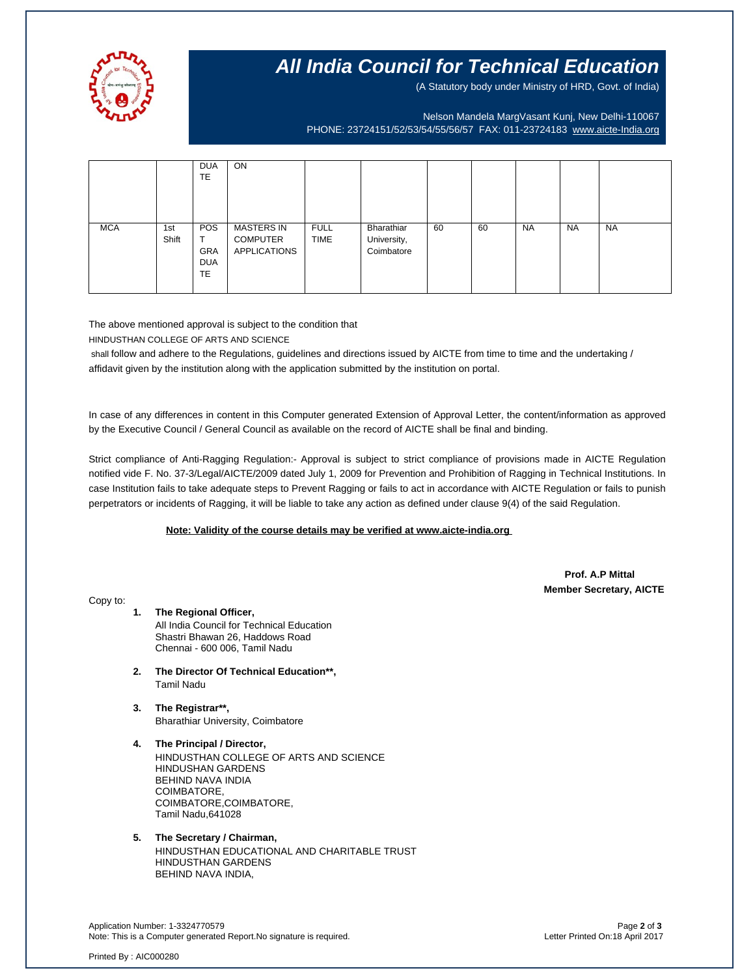

## **All India Council for Technical Education**

(A Statutory body under Ministry of HRD, Govt. of India)

Nelson Mandela MargVasant Kunj, New Delhi-110067 PHONE: 23724151/52/53/54/55/56/57 FAX: 011-23724183 [www.aicte-India.org](http://www.aicte-india.org/)

|            |              | <b>DUA</b><br><b>TE</b>                                  | ON                                                          |                            |                                         |    |    |           |           |           |
|------------|--------------|----------------------------------------------------------|-------------------------------------------------------------|----------------------------|-----------------------------------------|----|----|-----------|-----------|-----------|
| <b>MCA</b> | 1st<br>Shift | <b>POS</b><br>᠇<br><b>GRA</b><br><b>DUA</b><br><b>TE</b> | <b>MASTERS IN</b><br><b>COMPUTER</b><br><b>APPLICATIONS</b> | <b>FULL</b><br><b>TIME</b> | Bharathiar<br>University,<br>Coimbatore | 60 | 60 | <b>NA</b> | <b>NA</b> | <b>NA</b> |

The above mentioned approval is subject to the condition that

HINDUSTHAN COLLEGE OF ARTS AND SCIENCE

shall follow and adhere to the Regulations, guidelines and directions issued by AICTE from time to time and the undertaking / affidavit given by the institution along with the application submitted by the institution on portal.

In case of any differences in content in this Computer generated Extension of Approval Letter, the content/information as approved by the Executive Council / General Council as available on the record of AICTE shall be final and binding.

Strict compliance of Anti-Ragging Regulation:- Approval is subject to strict compliance of provisions made in AICTE Regulation notified vide F. No. 37-3/Legal/AICTE/2009 dated July 1, 2009 for Prevention and Prohibition of Ragging in Technical Institutions. In case Institution fails to take adequate steps to Prevent Ragging or fails to act in accordance with AICTE Regulation or fails to punish perpetrators or incidents of Ragging, it will be liable to take any action as defined under clause 9(4) of the said Regulation.

#### **Note: Validity of the course details may be verified at www.aicte-india.org**

 **Prof. A.P Mittal Member Secretary, AICTE**

Copy to:

- **1. The Regional Officer,** All India Council for Technical Education Shastri Bhawan 26, Haddows Road Chennai - 600 006, Tamil Nadu
- **2. The Director Of Technical Education\*\*,** Tamil Nadu
- **3. The Registrar\*\*,** Bharathiar University, Coimbatore
- **4. The Principal / Director,** HINDUSTHAN COLLEGE OF ARTS AND SCIENCE HINDUSHAN GARDENS BEHIND NAVA INDIA COIMBATORE, COIMBATORE,COIMBATORE, Tamil Nadu,641028
- **5. The Secretary / Chairman,** HINDUSTHAN EDUCATIONAL AND CHARITABLE TRUST HINDUSTHAN GARDENS BEHIND NAVA INDIA,

Application Number: 1-3324770579 Page **2** of **3** Note: This is a Computer generated Report.No signature is required.